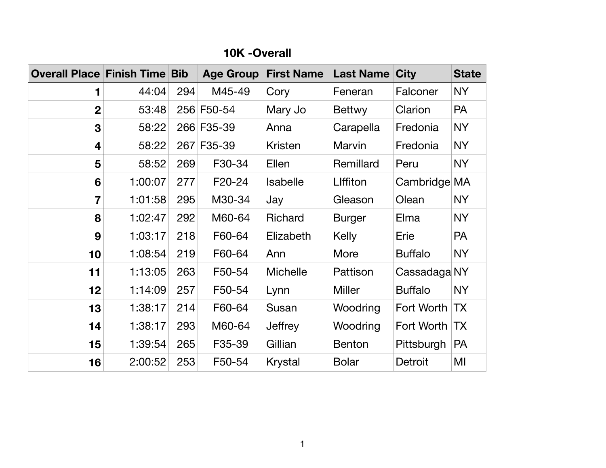| <b>Overall Place Finish Time Bib</b> |         |     | <b>Age Group</b> | <b>First Name</b> | <b>Last Name City</b> |                | <b>State</b> |
|--------------------------------------|---------|-----|------------------|-------------------|-----------------------|----------------|--------------|
|                                      | 44:04   | 294 | M45-49           | Cory              | Feneran               | Falconer       | <b>NY</b>    |
| $\boldsymbol{2}$                     | 53:48   |     | 256 F50-54       | Mary Jo           | <b>Bettwy</b>         | Clarion        | PA           |
| 3                                    | 58:22   |     | 266 F35-39       | Anna              | Carapella             | Fredonia       | <b>NY</b>    |
| $\overline{\mathbf{4}}$              | 58:22   |     | 267 F35-39       | <b>Kristen</b>    | Marvin                | Fredonia       | <b>NY</b>    |
| 5                                    | 58:52   | 269 | F30-34           | <b>Ellen</b>      | Remillard             | Peru           | <b>NY</b>    |
| $6\phantom{1}6$                      | 1:00:07 | 277 | F20-24           | <b>Isabelle</b>   | Liffiton              | Cambridge MA   |              |
| 7                                    | 1:01:58 | 295 | M30-34           | Jay               | Gleason               | Olean          | <b>NY</b>    |
| 8                                    | 1:02:47 | 292 | M60-64           | Richard           | <b>Burger</b>         | Elma           | <b>NY</b>    |
| 9                                    | 1:03:17 | 218 | F60-64           | Elizabeth         | <b>Kelly</b>          | Erie           | <b>PA</b>    |
| 10                                   | 1:08:54 | 219 | F60-64           | Ann               | More                  | <b>Buffalo</b> | <b>NY</b>    |
| 11                                   | 1:13:05 | 263 | F50-54           | <b>Michelle</b>   | Pattison              | Cassadaga NY   |              |
| 12                                   | 1:14:09 | 257 | F50-54           | Lynn              | <b>Miller</b>         | <b>Buffalo</b> | NY           |
| 13                                   | 1:38:17 | 214 | F60-64           | Susan             | Woodring              | Fort Worth TX  |              |
| 14                                   | 1:38:17 | 293 | M60-64           | Jeffrey           | Woodring              | Fort Worth TX  |              |
| 15                                   | 1:39:54 | 265 | F35-39           | Gillian           | <b>Benton</b>         | Pittsburgh     | <b>PA</b>    |
| 16                                   | 2:00:52 | 253 | F50-54           | <b>Krystal</b>    | <b>Bolar</b>          | <b>Detroit</b> | MI           |

#### **10K -Overall**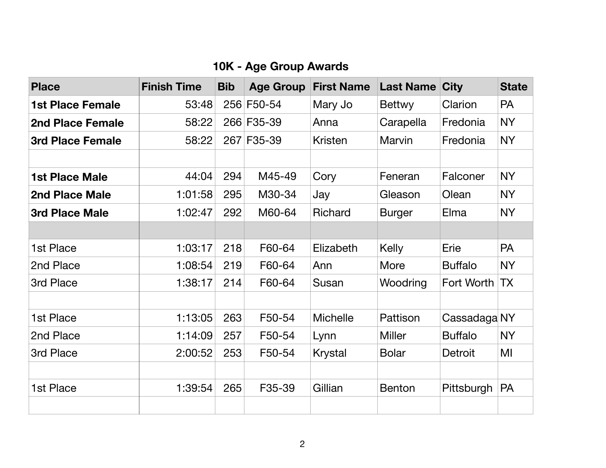## **10K - Age Group Awards**

| <b>Place</b>            | <b>Finish Time</b> | <b>Bib</b> | <b>Age Group</b> | <b>First Name</b> | <b>Last Name City</b> |                | <b>State</b>    |
|-------------------------|--------------------|------------|------------------|-------------------|-----------------------|----------------|-----------------|
| 1st Place Female        | 53:48              |            | 256 F50-54       | Mary Jo           | <b>Bettwy</b>         | Clarion        | <b>PA</b>       |
| <b>2nd Place Female</b> | 58:22              |            | 266 F35-39       | Anna              | Carapella             | Fredonia       | NY              |
| 3rd Place Female        | 58:22              |            | 267 F35-39       | <b>Kristen</b>    | <b>Marvin</b>         | Fredonia       | <b>NY</b>       |
|                         |                    |            |                  |                   |                       |                |                 |
| <b>1st Place Male</b>   | 44:04              | 294        | M45-49           | Cory              | Feneran               | Falconer       | <b>NY</b>       |
| <b>2nd Place Male</b>   | 1:01:58            | 295        | M30-34           | Jay               | Gleason               | Olean          | <b>NY</b>       |
| <b>3rd Place Male</b>   | 1:02:47            | 292        | M60-64           | <b>Richard</b>    | <b>Burger</b>         | Elma           | <b>NY</b>       |
|                         |                    |            |                  |                   |                       |                |                 |
| 1st Place               | 1:03:17            | 218        | F60-64           | Elizabeth         | Kelly                 | Erie           | <b>PA</b>       |
| 2nd Place               | 1:08:54            | 219        | F60-64           | Ann               | More                  | <b>Buffalo</b> | <b>NY</b>       |
| 3rd Place               | 1:38:17            | 214        | F60-64           | Susan             | Woodring              | Fort Worth     | $ \mathsf{TX} $ |
|                         |                    |            |                  |                   |                       |                |                 |
| 1st Place               | 1:13:05            | 263        | F50-54           | <b>Michelle</b>   | Pattison              | Cassadaga NY   |                 |
| 2nd Place               | 1:14:09            | 257        | F50-54           | Lynn              | <b>Miller</b>         | <b>Buffalo</b> | <b>NY</b>       |
| 3rd Place               | 2:00:52            | 253        | F50-54           | <b>Krystal</b>    | <b>Bolar</b>          | <b>Detroit</b> | MI              |
|                         |                    |            |                  |                   |                       |                |                 |
| 1st Place               | 1:39:54            | 265        | F35-39           | Gillian           | <b>Benton</b>         | Pittsburgh     | <b>PA</b>       |
|                         |                    |            |                  |                   |                       |                |                 |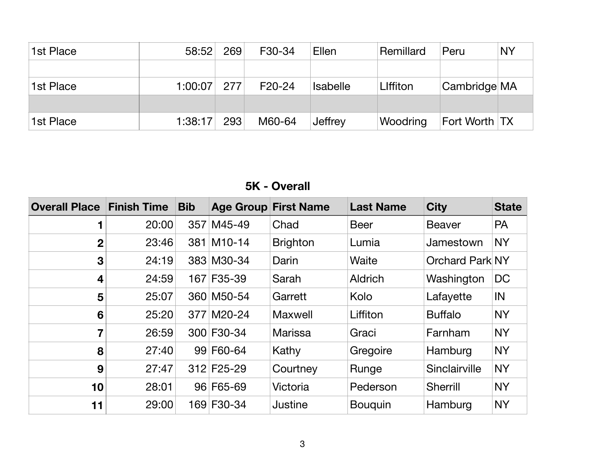| 1st Place | 58:52   | 269 | F30-34   | <b>Ellen</b>    | Remillard       | Peru          | <b>NY</b> |
|-----------|---------|-----|----------|-----------------|-----------------|---------------|-----------|
|           |         |     |          |                 |                 |               |           |
| 1st Place | 1:00:07 | 277 | $F20-24$ | <b>Isabelle</b> | <b>Liffiton</b> | Cambridge MA  |           |
|           |         |     |          |                 |                 |               |           |
| 1st Place | 1:38:17 | 293 | M60-64   | Jeffrey         | Woodring        | Fort Worth TX |           |

### **5K - Overall**

| <b>Overall Place</b> | <b>Finish Time</b> | <b>Bib</b> |            | <b>Age Group First Name</b> | <b>Last Name</b> | <b>City</b>            | <b>State</b> |
|----------------------|--------------------|------------|------------|-----------------------------|------------------|------------------------|--------------|
|                      | 20:00              |            | 357 M45-49 | Chad                        | <b>Beer</b>      | <b>Beaver</b>          | <b>PA</b>    |
| $\mathbf{2}$         | 23:46              |            | 381 M10-14 | <b>Brighton</b>             | Lumia            | Jamestown              | <b>NY</b>    |
| $\mathbf{3}$         | 24:19              |            | 383 M30-34 | Darin                       | Waite            | <b>Orchard Park NY</b> |              |
| 4                    | 24:59              |            | 167 F35-39 | Sarah                       | <b>Aldrich</b>   | Washington             | <b>DC</b>    |
| 5                    | 25:07              |            | 360 M50-54 | Garrett                     | Kolo             | Lafayette              | IN           |
| 6                    | 25:20              |            | 377 M20-24 | <b>Maxwell</b>              | Liffiton         | <b>Buffalo</b>         | <b>NY</b>    |
| 7                    | 26:59              |            | 300 F30-34 | <b>Marissa</b>              | Graci            | Farnham                | <b>NY</b>    |
| 8                    | 27:40              |            | 99 F60-64  | Kathy                       | Gregoire         | Hamburg                | <b>NY</b>    |
| 9                    | 27:47              |            | 312 F25-29 | Courtney                    | Runge            | Sinclairville          | <b>NY</b>    |
| 10                   | 28:01              |            | 96 F65-69  | Victoria                    | Pederson         | Sherrill               | <b>NY</b>    |
| 11                   | 29:00              |            | 169 F30-34 | Justine                     | <b>Bouguin</b>   | Hamburg                | <b>NY</b>    |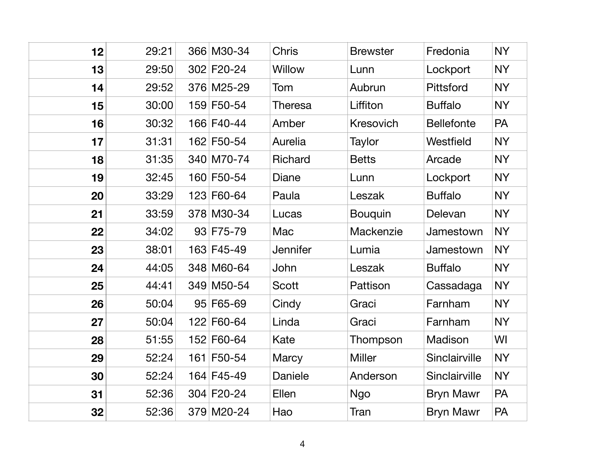| 12 | 29:21 | 366 M30-34 | <b>Chris</b>    | <b>Brewster</b>  | Fredonia          | <b>NY</b> |
|----|-------|------------|-----------------|------------------|-------------------|-----------|
| 13 | 29:50 | 302 F20-24 | <b>Willow</b>   | Lunn             | Lockport          | <b>NY</b> |
| 14 | 29:52 | 376 M25-29 | Tom             | Aubrun           | <b>Pittsford</b>  | <b>NY</b> |
| 15 | 30:00 | 159 F50-54 | <b>Theresa</b>  | Liffiton         | <b>Buffalo</b>    | <b>NY</b> |
| 16 | 30:32 | 166 F40-44 | Amber           | <b>Kresovich</b> | <b>Bellefonte</b> | <b>PA</b> |
| 17 | 31:31 | 162 F50-54 | Aurelia         | Taylor           | Westfield         | <b>NY</b> |
| 18 | 31:35 | 340 M70-74 | <b>Richard</b>  | <b>Betts</b>     | Arcade            | <b>NY</b> |
| 19 | 32:45 | 160 F50-54 | Diane           | Lunn             | Lockport          | <b>NY</b> |
| 20 | 33:29 | 123 F60-64 | Paula           | Leszak           | <b>Buffalo</b>    | <b>NY</b> |
| 21 | 33:59 | 378 M30-34 | Lucas           | <b>Bouquin</b>   | Delevan           | <b>NY</b> |
| 22 | 34:02 | 93 F75-79  | Mac             | Mackenzie        | Jamestown         | <b>NY</b> |
| 23 | 38:01 | 163 F45-49 | <b>Jennifer</b> | Lumia            | Jamestown         | <b>NY</b> |
| 24 | 44:05 | 348 M60-64 | John            | Leszak           | <b>Buffalo</b>    | <b>NY</b> |
| 25 | 44:41 | 349 M50-54 | Scott           | Pattison         | Cassadaga         | <b>NY</b> |
| 26 | 50:04 | 95 F65-69  | Cindy           | Graci            | Farnham           | <b>NY</b> |
| 27 | 50:04 | 122 F60-64 | Linda           | Graci            | Farnham           | <b>NY</b> |
| 28 | 51:55 | 152 F60-64 | Kate            | Thompson         | Madison           | WI        |
| 29 | 52:24 | 161 F50-54 | <b>Marcy</b>    | Miller           | Sinclairville     | <b>NY</b> |
| 30 | 52:24 | 164 F45-49 | <b>Daniele</b>  | Anderson         | Sinclairville     | <b>NY</b> |
| 31 | 52:36 | 304 F20-24 | Ellen           | <b>Ngo</b>       | <b>Bryn Mawr</b>  | <b>PA</b> |
| 32 | 52:36 | 379 M20-24 | Hao             | Tran             | <b>Bryn Mawr</b>  | PA        |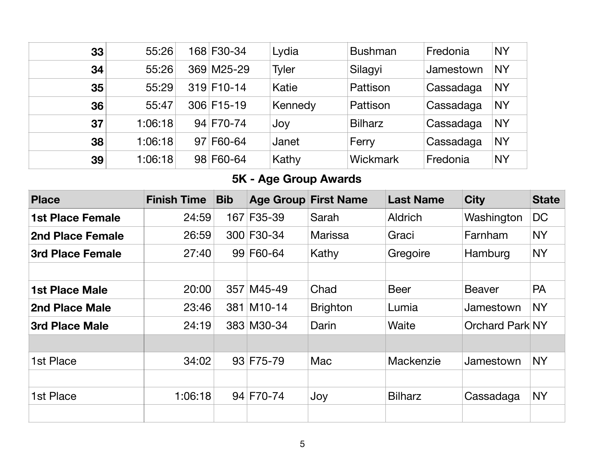| 33 | 55:26   | 168 F30-34 | Lydia        | <b>Bushman</b> | Fredonia  | <b>NY</b> |
|----|---------|------------|--------------|----------------|-----------|-----------|
| 34 | 55:26   | 369 M25-29 | <b>Tyler</b> | Silagyi        | Jamestown | <b>NY</b> |
| 35 | 55:29   | 319 F10-14 | Katie        | Pattison       | Cassadaga | <b>NY</b> |
| 36 | 55:47   | 306 F15-19 | Kennedy      | Pattison       | Cassadaga | <b>NY</b> |
| 37 | 1:06:18 | 94 F70-74  | Joy          | <b>Bilharz</b> | Cassadaga | <b>NY</b> |
| 38 | 1:06:18 | 97 F60-64  | Janet        | Ferry          | Cassadaga | <b>NY</b> |
| 39 | 1:06:18 | 98 F60-64  | Kathy        | Wickmark       | Fredonia  | <b>NY</b> |

# **5K - Age Group Awards**

| <b>Place</b>            | <b>Finish Time</b> | <b>Bib</b> |            | <b>Age Group First Name</b> | <b>Last Name</b> | <b>City</b>            | <b>State</b> |
|-------------------------|--------------------|------------|------------|-----------------------------|------------------|------------------------|--------------|
| <b>1st Place Female</b> | 24:59              |            | 167 F35-39 | Sarah                       | <b>Aldrich</b>   | Washington             | <b>DC</b>    |
| <b>2nd Place Female</b> | 26:59              |            | 300 F30-34 | <b>Marissa</b>              | Graci            | Farnham                | NY           |
| 3rd Place Female        | 27:40              |            | 99 F60-64  | Kathy                       | Gregoire         | Hamburg                | <b>NY</b>    |
|                         |                    |            |            |                             |                  |                        |              |
| <b>1st Place Male</b>   | 20:00              |            | 357 M45-49 | Chad                        | <b>Beer</b>      | <b>Beaver</b>          | <b>PA</b>    |
| 2nd Place Male          | 23:46              |            | 381 M10-14 | <b>Brighton</b>             | Lumia            | Jamestown              | <b>NY</b>    |
| <b>3rd Place Male</b>   | 24:19              |            | 383 M30-34 | Darin                       | Waite            | <b>Orchard Park NY</b> |              |
|                         |                    |            |            |                             |                  |                        |              |
| 1st Place               | 34:02              |            | 93 F75-79  | Mac                         | Mackenzie        | Jamestown              | <b>NY</b>    |
|                         |                    |            |            |                             |                  |                        |              |
| 1st Place               | 1:06:18            |            | 94 F70-74  | Joy                         | <b>Bilharz</b>   | Cassadaga              | <b>NY</b>    |
|                         |                    |            |            |                             |                  |                        |              |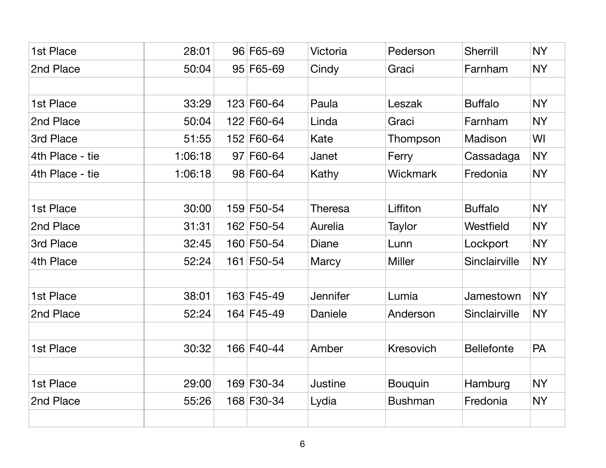| 1st Place       | 28:01   | 96 F65-69  | Victoria        | Pederson         | <b>Sherrill</b>   | <b>NY</b> |
|-----------------|---------|------------|-----------------|------------------|-------------------|-----------|
| 2nd Place       | 50:04   | 95 F65-69  | Cindy           | Graci            | Farnham           | <b>NY</b> |
|                 |         |            |                 |                  |                   |           |
| 1st Place       | 33:29   | 123 F60-64 | Paula           | Leszak           | <b>Buffalo</b>    | <b>NY</b> |
| 2nd Place       | 50:04   | 122 F60-64 | Linda           | Graci            | Farnham           | <b>NY</b> |
| 3rd Place       | 51:55   | 152 F60-64 | Kate            | Thompson         | Madison           | WI        |
| 4th Place - tie | 1:06:18 | 97 F60-64  | Janet           | Ferry            | Cassadaga         | <b>NY</b> |
| 4th Place - tie | 1:06:18 | 98 F60-64  | Kathy           | Wickmark         | Fredonia          | <b>NY</b> |
|                 |         |            |                 |                  |                   |           |
| 1st Place       | 30:00   | 159 F50-54 | Theresa         | Liffiton         | <b>Buffalo</b>    | <b>NY</b> |
| 2nd Place       | 31:31   | 162 F50-54 | Aurelia         | Taylor           | Westfield         | <b>NY</b> |
| 3rd Place       | 32:45   | 160 F50-54 | Diane           | Lunn             | Lockport          | <b>NY</b> |
| 4th Place       | 52:24   | 161 F50-54 | Marcy           | <b>Miller</b>    | Sinclairville     | <b>NY</b> |
|                 |         |            |                 |                  |                   |           |
| 1st Place       | 38:01   | 163 F45-49 | <b>Jennifer</b> | Lumia            | Jamestown         | <b>NY</b> |
| 2nd Place       | 52:24   | 164 F45-49 | <b>Daniele</b>  | Anderson         | Sinclairville     | <b>NY</b> |
|                 |         |            |                 |                  |                   |           |
| 1st Place       | 30:32   | 166 F40-44 | Amber           | <b>Kresovich</b> | <b>Bellefonte</b> | <b>PA</b> |
|                 |         |            |                 |                  |                   |           |
| 1st Place       | 29:00   | 169 F30-34 | <b>Justine</b>  | <b>Bouquin</b>   | Hamburg           | <b>NY</b> |
| 2nd Place       | 55:26   | 168 F30-34 | Lydia           | <b>Bushman</b>   | Fredonia          | NY        |
|                 |         |            |                 |                  |                   |           |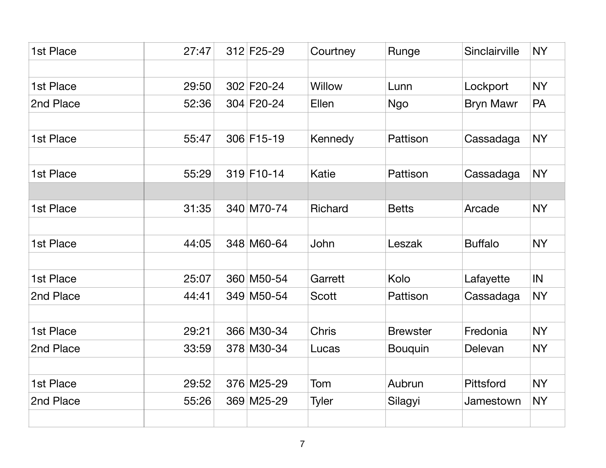| 1st Place | 27:47 | 312 F25-29 | Courtney       | Runge           | Sinclairville    | <b>NY</b> |
|-----------|-------|------------|----------------|-----------------|------------------|-----------|
|           |       |            |                |                 |                  |           |
| 1st Place | 29:50 | 302 F20-24 | <b>Willow</b>  | Lunn            | Lockport         | <b>NY</b> |
| 2nd Place | 52:36 | 304 F20-24 | Ellen          | <b>Ngo</b>      | <b>Bryn Mawr</b> | PA        |
| 1st Place | 55:47 | 306 F15-19 | Kennedy        | <b>Pattison</b> | Cassadaga        | <b>NY</b> |
|           |       |            |                |                 |                  |           |
| 1st Place | 55:29 | 319 F10-14 | Katie          | <b>Pattison</b> | Cassadaga        | <b>NY</b> |
|           |       |            |                |                 |                  |           |
| 1st Place | 31:35 | 340 M70-74 | <b>Richard</b> | <b>Betts</b>    | Arcade           | <b>NY</b> |
|           |       |            |                |                 |                  |           |
| 1st Place | 44:05 | 348 M60-64 | John           | Leszak          | <b>Buffalo</b>   | <b>NY</b> |
|           |       |            |                |                 |                  |           |
| 1st Place | 25:07 | 360 M50-54 | Garrett        | Kolo            | Lafayette        | IN        |
| 2nd Place | 44:41 | 349 M50-54 | <b>Scott</b>   | Pattison        | Cassadaga        | <b>NY</b> |
|           |       |            |                |                 |                  |           |
| 1st Place | 29:21 | 366 M30-34 | <b>Chris</b>   | <b>Brewster</b> | Fredonia         | <b>NY</b> |
| 2nd Place | 33:59 | 378 M30-34 | Lucas          | <b>Bouquin</b>  | Delevan          | <b>NY</b> |
|           |       |            |                |                 |                  |           |
| 1st Place | 29:52 | 376 M25-29 | Tom            | Aubrun          | <b>Pittsford</b> | <b>NY</b> |
| 2nd Place | 55:26 | 369 M25-29 | Tyler          | Silagyi         | Jamestown        | NY        |
|           |       |            |                |                 |                  |           |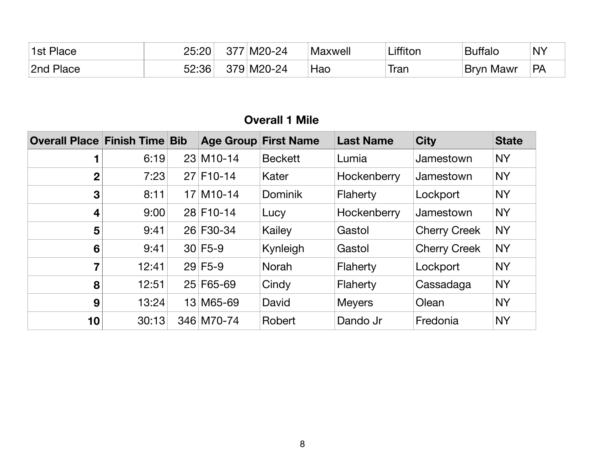| <sup>1</sup> 1st Place | 25:20 | 377 | $M20-24$   | Maxwell | ∟iffiton | <b>Buffalo</b>   | $\overline{\mathsf{N}}$ |
|------------------------|-------|-----|------------|---------|----------|------------------|-------------------------|
| 2nd Place              | 52:36 |     | 379 M20-24 | Hao     | Iran     | <b>Bryn Mawr</b> | <b>PA</b>               |

| <b>Overall Place Finish Time Bib</b> |       |                          | <b>Age Group First Name</b> | <b>Last Name</b> | <b>City</b>         | <b>State</b> |
|--------------------------------------|-------|--------------------------|-----------------------------|------------------|---------------------|--------------|
| 1                                    | 6:19  | 23 M10-14                | <b>Beckett</b>              | Lumia            | Jamestown           | <b>NY</b>    |
| $\overline{2}$                       | 7:23  | $27$ F <sub>10</sub> -14 | Kater                       | Hockenberry      | Jamestown           | <b>NY</b>    |
| $\mathbf{3}$                         | 8:11  | $17$ M <sub>10</sub> -14 | <b>Dominik</b>              | Flaherty         | Lockport            | <b>NY</b>    |
| 4                                    | 9:00  | 28 F10-14                | Lucy                        | Hockenberry      | Jamestown           | <b>NY</b>    |
| 5                                    | 9:41  | 26 F30-34                | Kailey                      | Gastol           | <b>Cherry Creek</b> | <b>NY</b>    |
| 6                                    | 9:41  | $30 F5-9$                | Kynleigh                    | Gastol           | <b>Cherry Creek</b> | <b>NY</b>    |
| $\overline{\mathbf{7}}$              | 12:41 | $29$ F5-9                | <b>Norah</b>                | Flaherty         | Lockport            | <b>NY</b>    |
| 8                                    | 12:51 | 25 F65-69                | Cindy                       | Flaherty         | Cassadaga           | <b>NY</b>    |
| 9                                    | 13:24 | 13 M65-69                | David                       | <b>Meyers</b>    | Olean               | <b>NY</b>    |
| 10                                   | 30:13 | 346 M70-74               | Robert                      | Dando Jr         | Fredonia            | <b>NY</b>    |

### **Overall 1 Mile**